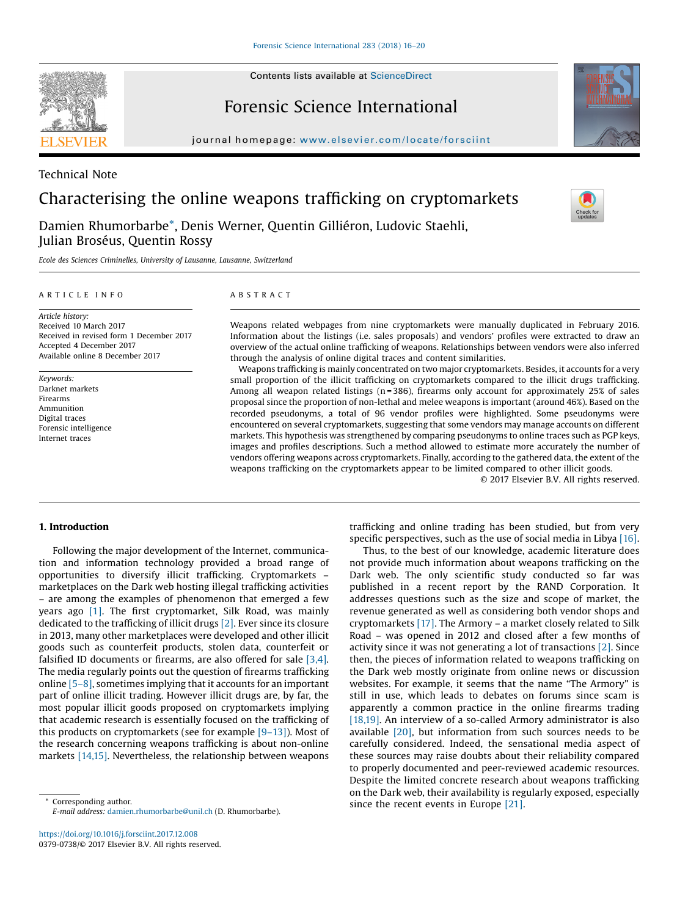# **SEVIER**

Forensic Science International





Technical Note

# Characterising the online weapons trafficking on cryptomarkets

Damien Rhumorbarbe\*, Denis Werner, Quentin Gilliéron, Ludovic Staehli, Julian Broséus, Quentin Rossy

Ecole des Sciences Criminelles, University of Lausanne, Lausanne, Switzerland

## A R T I C L E I N F O

A B S T R A C T

Article history: Received 10 March 2017 Received in revised form 1 December 2017 Accepted 4 December 2017 Available online 8 December 2017

Keywords: Darknet markets Firearms Ammunition Digital traces Forensic intelligence Internet traces

Weapons related webpages from nine cryptomarkets were manually duplicated in February 2016. Information about the listings (i.e. sales proposals) and vendors' profiles were extracted to draw an overview of the actual online trafficking of weapons. Relationships between vendors were also inferred through the analysis of online digital traces and content similarities.

Weapons trafficking is mainly concentrated on two major cryptomarkets. Besides, it accounts for a very small proportion of the illicit trafficking on cryptomarkets compared to the illicit drugs trafficking. Among all weapon related listings (n=386), firearms only account for approximately 25% of sales proposal since the proportion of non-lethal and melee weapons is important (around 46%). Based on the recorded pseudonyms, a total of 96 vendor profiles were highlighted. Some pseudonyms were encountered on several cryptomarkets, suggesting that some vendors may manage accounts on different markets. This hypothesis was strengthened by comparing pseudonyms to online traces such as PGP keys, images and profiles descriptions. Such a method allowed to estimate more accurately the number of vendors offering weapons across cryptomarkets. Finally, according to the gathered data, the extent of the weapons trafficking on the cryptomarkets appear to be limited compared to other illicit goods.

© 2017 Elsevier B.V. All rights reserved.

# 1. Introduction

Following the major development of the Internet, communication and information technology provided a broad range of opportunities to diversify illicit trafficking. Cryptomarkets – marketplaces on the Dark web hosting illegal trafficking activities – are among the examples of phenomenon that emerged a few years ago [\[1\]](#page-4-0). The first cryptomarket, Silk Road, was mainly dedicated to the trafficking of illicit drugs [\[2\]](#page-4-0). Ever since its closure in 2013, many other marketplaces were developed and other illicit goods such as counterfeit products, stolen data, counterfeit or falsified ID documents or firearms, are also offered for sale [\[3,4\].](#page-4-0) The media regularly points out the question of firearms trafficking online [5–[8\],](#page-4-0) sometimes implying that it accounts for an important part of online illicit trading. However illicit drugs are, by far, the most popular illicit goods proposed on cryptomarkets implying that academic research is essentially focused on the trafficking of this products on cryptomarkets (see for example [9–[13\]](#page-4-0)). Most of the research concerning weapons trafficking is about non-online markets [\[14,15\].](#page-4-0) Nevertheless, the relationship between weapons

Corresponding author. The recent events in Europe [\[21\].](#page-4-0) E-mail address: [damien.rhumorbarbe@unil.ch](mailto:damien.rhumorbarbe@unil.ch) (D. Rhumorbarbe).

<https://doi.org/10.1016/j.forsciint.2017.12.008> 0379-0738/© 2017 Elsevier B.V. All rights reserved. trafficking and online trading has been studied, but from very specific perspectives, such as the use of social media in Libya [\[16\].](#page-4-0)

Thus, to the best of our knowledge, academic literature does not provide much information about weapons trafficking on the Dark web. The only scientific study conducted so far was published in a recent report by the RAND Corporation. It addresses questions such as the size and scope of market, the revenue generated as well as considering both vendor shops and cryptomarkets [\[17\]](#page-4-0). The Armory – a market closely related to Silk Road – was opened in 2012 and closed after a few months of activity since it was not generating a lot of transactions [\[2\]](#page-4-0). Since then, the pieces of information related to weapons trafficking on the Dark web mostly originate from online news or discussion websites. For example, it seems that the name "The Armory" is still in use, which leads to debates on forums since scam is apparently a common practice in the online firearms trading [\[18,19\]](#page-4-0). An interview of a so-called Armory administrator is also available [\[20\]](#page-4-0), but information from such sources needs to be carefully considered. Indeed, the sensational media aspect of these sources may raise doubts about their reliability compared to properly documented and peer-reviewed academic resources. Despite the limited concrete research about weapons trafficking on the Dark web, their availability is regularly exposed, especially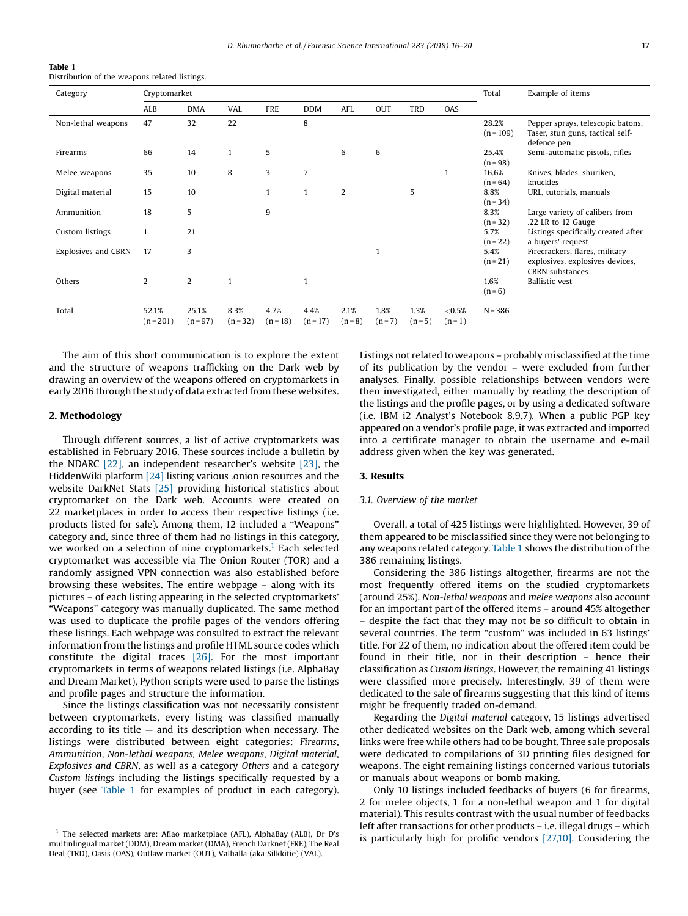| Category                   | Cryptomarket       |                     |                  |                    |                    |                   |                 |                 |                      | Total                | Example of items                                                                            |  |
|----------------------------|--------------------|---------------------|------------------|--------------------|--------------------|-------------------|-----------------|-----------------|----------------------|----------------------|---------------------------------------------------------------------------------------------|--|
|                            | ALB                | DMA                 | VAL              | FRE                | <b>DDM</b>         | AFL               | <b>OUT</b>      | <b>TRD</b>      | OAS                  |                      |                                                                                             |  |
| Non-lethal weapons         | 47                 | 32                  | 22               |                    | 8                  |                   |                 |                 |                      | 28.2%<br>$(n = 109)$ | Pepper sprays, telescopic batons,<br>Taser, stun guns, tactical self-<br>defence pen        |  |
| Firearms                   | 66                 | 14                  | $\mathbf{1}$     | 5                  |                    | 6                 | 6               |                 |                      | 25.4%<br>$(n = 98)$  | Semi-automatic pistols, rifles                                                              |  |
| Melee weapons              | 35                 | 10                  | 8                | 3                  | 7                  |                   |                 |                 |                      | 16.6%<br>$(n=64)$    | Knives, blades, shuriken,<br>knuckles                                                       |  |
| Digital material           | 15                 | 10                  |                  | 1                  |                    | $\overline{2}$    |                 | 5               |                      | 8.8%<br>$(n=34)$     | URL, tutorials, manuals                                                                     |  |
| Ammunition                 | 18                 | 5                   |                  | 9                  |                    |                   |                 |                 |                      | 8.3%<br>$(n=32)$     | Large variety of calibers from<br>.22 LR to 12 Gauge                                        |  |
| Custom listings            |                    | 21                  |                  |                    |                    |                   |                 |                 |                      | 5.7%<br>$(n=22)$     | Listings specifically created after<br>a buyers' request                                    |  |
| <b>Explosives and CBRN</b> | 17                 | 3                   |                  |                    |                    |                   |                 |                 |                      | 5.4%<br>$(n=21)$     | Firecrackers, flares, military<br>explosives, explosives devices,<br><b>CBRN</b> substances |  |
| Others                     | $\overline{2}$     | $\overline{2}$      | 1                |                    |                    |                   |                 |                 |                      | 1.6%<br>$(n=6)$      | <b>Ballistic</b> vest                                                                       |  |
| Total                      | 52.1%<br>$(n=201)$ | 25.1%<br>$(n = 97)$ | 8.3%<br>$(n=32)$ | 4.7%<br>$(n = 18)$ | 4.4%<br>$(n = 17)$ | 2.1%<br>$(n = 8)$ | 1.8%<br>$(n=7)$ | 1.3%<br>$(n=5)$ | ${<}0.5%$<br>$(n=1)$ | $N = 386$            |                                                                                             |  |

Table 1 Distribution of the weapons related listings.

The aim of this short communication is to explore the extent and the structure of weapons trafficking on the Dark web by drawing an overview of the weapons offered on cryptomarkets in early 2016 through the study of data extracted from these websites.

# 2. Methodology

Through different sources, a list of active cryptomarkets was established in February 2016. These sources include a bulletin by the NDARC [\[22\]](#page-4-0), an independent researcher's website [\[23\]](#page-4-0), the HiddenWiki platform [\[24\]](#page-4-0) listing various .onion resources and the website DarkNet Stats [\[25\]](#page-4-0) providing historical statistics about cryptomarket on the Dark web. Accounts were created on 22 marketplaces in order to access their respective listings (i.e. products listed for sale). Among them, 12 included a "Weapons" category and, since three of them had no listings in this category, we worked on a selection of nine cryptomarkets.<sup>1</sup> Each selected cryptomarket was accessible via The Onion Router (TOR) and a randomly assigned VPN connection was also established before browsing these websites. The entire webpage – along with its pictures – of each listing appearing in the selected cryptomarkets' "Weapons" category was manually duplicated. The same method was used to duplicate the profile pages of the vendors offering these listings. Each webpage was consulted to extract the relevant information from the listings and profile HTML source codes which constitute the digital traces [\[26\]](#page-4-0). For the most important cryptomarkets in terms of weapons related listings (i.e. AlphaBay and Dream Market), Python scripts were used to parse the listings and profile pages and structure the information.

Since the listings classification was not necessarily consistent between cryptomarkets, every listing was classified manually according to its title — and its description when necessary. The listings were distributed between eight categories: Firearms, Ammunition, Non-lethal weapons, Melee weapons, Digital material, Explosives and CBRN, as well as a category Others and a category Custom listings including the listings specifically requested by a buyer (see Table 1 for examples of product in each category).

Listings not related to weapons – probably misclassified at the time of its publication by the vendor – were excluded from further analyses. Finally, possible relationships between vendors were then investigated, either manually by reading the description of the listings and the profile pages, or by using a dedicated software (i.e. IBM i2 Analyst's Notebook 8.9.7). When a public PGP key appeared on a vendor's profile page, it was extracted and imported into a certificate manager to obtain the username and e-mail address given when the key was generated.

## 3. Results

# 3.1. Overview of the market

Overall, a total of 425 listings were highlighted. However, 39 of them appeared to be misclassified since they were not belonging to any weapons related category. Table 1 shows the distribution of the 386 remaining listings.

Considering the 386 listings altogether, firearms are not the most frequently offered items on the studied cryptomarkets (around 25%). Non-lethal weapons and melee weapons also account for an important part of the offered items – around 45% altogether – despite the fact that they may not be so difficult to obtain in several countries. The term "custom" was included in 63 listings' title. For 22 of them, no indication about the offered item could be found in their title, nor in their description – hence their classification as Custom listings. However, the remaining 41 listings were classified more precisely. Interestingly, 39 of them were dedicated to the sale of firearms suggesting that this kind of items might be frequently traded on-demand.

Regarding the Digital material category, 15 listings advertised other dedicated websites on the Dark web, among which several links were free while others had to be bought. Three sale proposals were dedicated to compilations of 3D printing files designed for weapons. The eight remaining listings concerned various tutorials or manuals about weapons or bomb making.

Only 10 listings included feedbacks of buyers (6 for firearms, 2 for melee objects, 1 for a non-lethal weapon and 1 for digital material). This results contrast with the usual number of feedbacks left after transactions for other products – i.e. illegal drugs – which is particularly high for prolific vendors [\[27,10\]](#page-4-0). Considering the

 $1$  The selected markets are: Aflao marketplace (AFL), AlphaBay (ALB), Dr D's multinlingual market (DDM), Dream market (DMA), French Darknet (FRE), The Real Deal (TRD), Oasis (OAS), Outlaw market (OUT), Valhalla (aka Silkkitie) (VAL).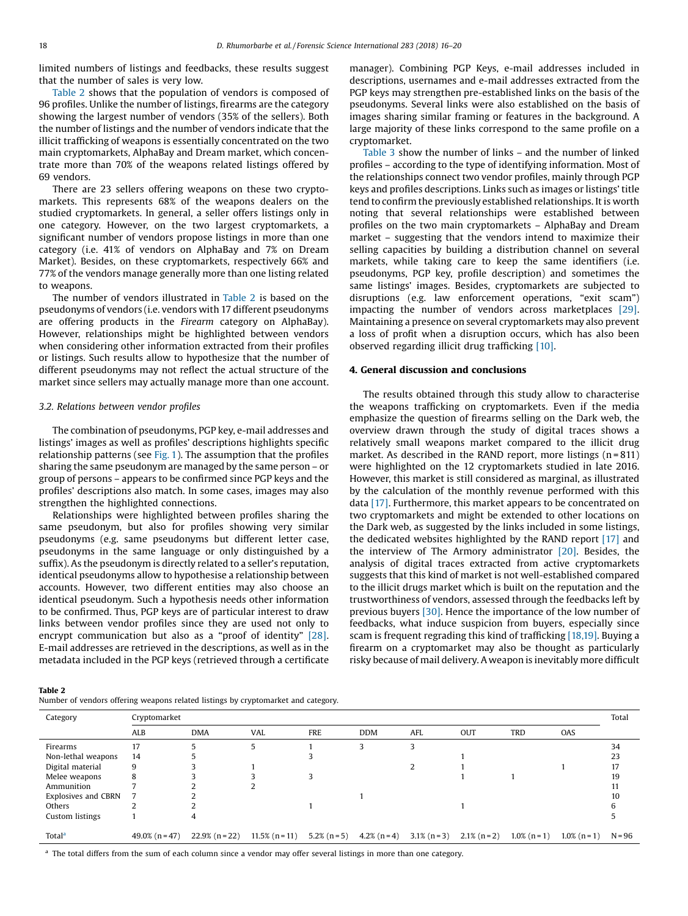limited numbers of listings and feedbacks, these results suggest that the number of sales is very low.

Table 2 shows that the population of vendors is composed of 96 profiles. Unlike the number of listings, firearms are the category showing the largest number of vendors (35% of the sellers). Both the number of listings and the number of vendors indicate that the illicit trafficking of weapons is essentially concentrated on the two main cryptomarkets, AlphaBay and Dream market, which concentrate more than 70% of the weapons related listings offered by 69 vendors.

There are 23 sellers offering weapons on these two cryptomarkets. This represents 68% of the weapons dealers on the studied cryptomarkets. In general, a seller offers listings only in one category. However, on the two largest cryptomarkets, a significant number of vendors propose listings in more than one category (i.e. 41% of vendors on AlphaBay and 7% on Dream Market). Besides, on these cryptomarkets, respectively 66% and 77% of the vendors manage generally more than one listing related to weapons.

The number of vendors illustrated in Table 2 is based on the pseudonyms of vendors (i.e. vendors with 17 different pseudonyms are offering products in the Firearm category on AlphaBay). However, relationships might be highlighted between vendors when considering other information extracted from their profiles or listings. Such results allow to hypothesize that the number of different pseudonyms may not reflect the actual structure of the market since sellers may actually manage more than one account.

#### 3.2. Relations between vendor profiles

The combination of pseudonyms, PGP key, e-mail addresses and listings' images as well as profiles' descriptions highlights specific relationship patterns (see [Fig.](#page-3-0) 1). The assumption that the profiles sharing the same pseudonym are managed by the same person – or group of persons – appears to be confirmed since PGP keys and the profiles' descriptions also match. In some cases, images may also strengthen the highlighted connections.

Relationships were highlighted between profiles sharing the same pseudonym, but also for profiles showing very similar pseudonyms (e.g. same pseudonyms but different letter case, pseudonyms in the same language or only distinguished by a suffix). As the pseudonym is directly related to a seller's reputation, identical pseudonyms allow to hypothesise a relationship between accounts. However, two different entities may also choose an identical pseudonym. Such a hypothesis needs other information to be confirmed. Thus, PGP keys are of particular interest to draw links between vendor profiles since they are used not only to encrypt communication but also as a "proof of identity" [\[28\].](#page-4-0) E-mail addresses are retrieved in the descriptions, as well as in the metadata included in the PGP keys (retrieved through a certificate manager). Combining PGP Keys, e-mail addresses included in descriptions, usernames and e-mail addresses extracted from the PGP keys may strengthen pre-established links on the basis of the pseudonyms. Several links were also established on the basis of images sharing similar framing or features in the background. A large majority of these links correspond to the same profile on a cryptomarket.

[Table](#page-3-0) 3 show the number of links – and the number of linked profiles – according to the type of identifying information. Most of the relationships connect two vendor profiles, mainly through PGP keys and profiles descriptions. Links such as images or listings' title tend to confirm the previously established relationships. It is worth noting that several relationships were established between profiles on the two main cryptomarkets – AlphaBay and Dream market – suggesting that the vendors intend to maximize their selling capacities by building a distribution channel on several markets, while taking care to keep the same identifiers (i.e. pseudonyms, PGP key, profile description) and sometimes the same listings' images. Besides, cryptomarkets are subjected to disruptions (e.g. law enforcement operations, "exit scam") impacting the number of vendors across marketplaces [\[29\].](#page-4-0) Maintaining a presence on several cryptomarkets may also prevent a loss of profit when a disruption occurs, which has also been observed regarding illicit drug trafficking [\[10\]](#page-4-0).

# 4. General discussion and conclusions

The results obtained through this study allow to characterise the weapons trafficking on cryptomarkets. Even if the media emphasize the question of firearms selling on the Dark web, the overview drawn through the study of digital traces shows a relatively small weapons market compared to the illicit drug market. As described in the RAND report, more listings  $(n = 811)$ were highlighted on the 12 cryptomarkets studied in late 2016. However, this market is still considered as marginal, as illustrated by the calculation of the monthly revenue performed with this data [\[17\]](#page-4-0). Furthermore, this market appears to be concentrated on two cryptomarkets and might be extended to other locations on the Dark web, as suggested by the links included in some listings, the dedicated websites highlighted by the RAND report [\[17\]](#page-4-0) and the interview of The Armory administrator [\[20\]](#page-4-0). Besides, the analysis of digital traces extracted from active cryptomarkets suggests that this kind of market is not well-established compared to the illicit drugs market which is built on the reputation and the trustworthiness of vendors, assessed through the feedbacks left by previous buyers [\[30\]](#page-4-0). Hence the importance of the low number of feedbacks, what induce suspicion from buyers, especially since scam is frequent regrading this kind of trafficking [\[18,19\]](#page-4-0). Buying a firearm on a cryptomarket may also be thought as particularly risky because of mail delivery. A weapon is inevitably more difficult

Number of vendors offering weapons related listings by cryptomarket and category.

| Category            | Cryptomarket      |                   |                   |                 |                 |                 |                 |                 |                 | Total    |
|---------------------|-------------------|-------------------|-------------------|-----------------|-----------------|-----------------|-----------------|-----------------|-----------------|----------|
|                     | ALB               | <b>DMA</b>        | VAL               | <b>FRE</b>      | <b>DDM</b>      | AFL             | <b>OUT</b>      | TRD             | OAS             |          |
| Firearms            | 17                |                   | 5                 |                 |                 | 3               |                 |                 |                 | 34       |
| Non-lethal weapons  | 14                |                   |                   |                 |                 |                 |                 |                 |                 | 23       |
| Digital material    | 9                 |                   |                   |                 |                 | 2               |                 |                 |                 | 17       |
| Melee weapons       | 8                 |                   |                   |                 |                 |                 |                 |                 |                 | 19       |
| Ammunition          |                   |                   |                   |                 |                 |                 |                 |                 |                 | 11       |
| Explosives and CBRN |                   |                   |                   |                 |                 |                 |                 |                 |                 | 10       |
| Others              |                   |                   |                   |                 |                 |                 |                 |                 |                 |          |
| Custom listings     |                   | 4                 |                   |                 |                 |                 |                 |                 |                 |          |
|                     |                   |                   |                   |                 |                 |                 |                 |                 |                 |          |
| Total <sup>a</sup>  | $49.0\%$ (n = 47) | $22.9\%$ (n = 22) | $11.5\%$ (n = 11) | $5.2\%$ (n = 5) | $4.2\%$ (n = 4) | $3.1\%$ (n = 3) | $2.1\%$ (n = 2) | $1.0\%$ (n = 1) | $1.0\%$ (n = 1) | $N = 96$ |

<sup>a</sup> The total differs from the sum of each column since a vendor may offer several listings in more than one category.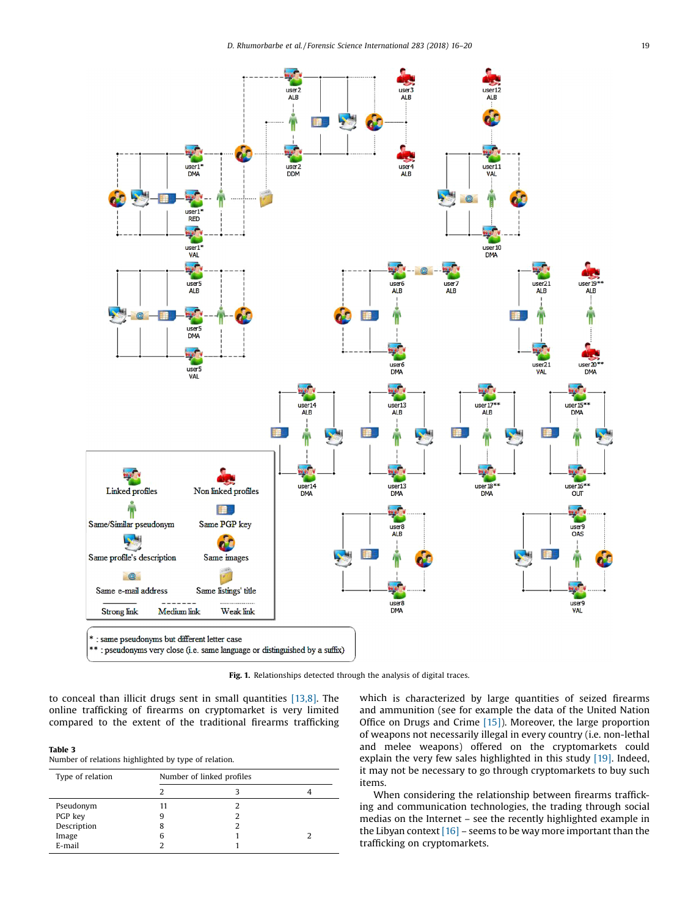<span id="page-3-0"></span>

Fig. 1. Relationships detected through the analysis of digital traces.

to conceal than illicit drugs sent in small quantities [\[13,8\]](#page-4-0). The online trafficking of firearms on cryptomarket is very limited compared to the extent of the traditional firearms trafficking

## Table 3

Number of relations highlighted by type of relation.

| Type of relation | Number of linked profiles |  |  |  |  |  |
|------------------|---------------------------|--|--|--|--|--|
|                  |                           |  |  |  |  |  |
| Pseudonym        |                           |  |  |  |  |  |
| PGP key          | q                         |  |  |  |  |  |
| Description      | 8                         |  |  |  |  |  |
| Image            | h                         |  |  |  |  |  |
| E-mail           |                           |  |  |  |  |  |

which is characterized by large quantities of seized firearms and ammunition (see for example the data of the United Nation Office on Drugs and Crime [\[15\]\)](#page-4-0). Moreover, the large proportion of weapons not necessarily illegal in every country (i.e. non-lethal and melee weapons) offered on the cryptomarkets could explain the very few sales highlighted in this study [\[19\]](#page-4-0). Indeed, it may not be necessary to go through cryptomarkets to buy such items.

When considering the relationship between firearms trafficking and communication technologies, the trading through social medias on the Internet – see the recently highlighted example in the Libyan context  $[16]$  – seems to be way more important than the trafficking on cryptomarkets.